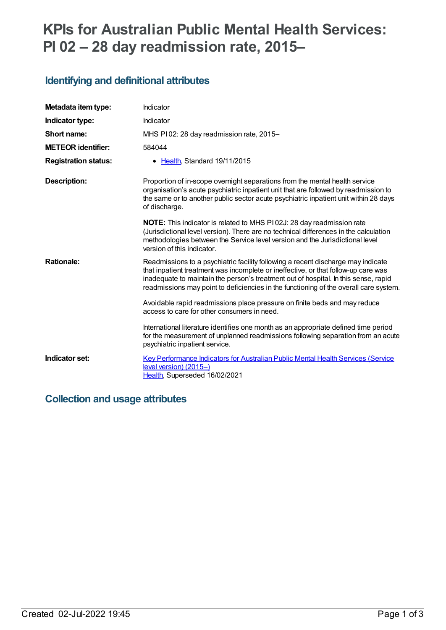# **KPIs for Australian Public Mental Health Services: PI 02 – 28 day readmission rate, 2015–**

### **Identifying and definitional attributes**

| Metadata item type:         | Indicator                                                                                                                                                                                                                                                                                                                                              |
|-----------------------------|--------------------------------------------------------------------------------------------------------------------------------------------------------------------------------------------------------------------------------------------------------------------------------------------------------------------------------------------------------|
| Indicator type:             | Indicator                                                                                                                                                                                                                                                                                                                                              |
| Short name:                 | MHS PI 02: 28 day readmission rate, 2015-                                                                                                                                                                                                                                                                                                              |
| <b>METEOR identifier:</b>   | 584044                                                                                                                                                                                                                                                                                                                                                 |
| <b>Registration status:</b> | • Health, Standard 19/11/2015                                                                                                                                                                                                                                                                                                                          |
| Description:                | Proportion of in-scope overnight separations from the mental health service<br>organisation's acute psychiatric inpatient unit that are followed by readmission to<br>the same or to another public sector acute psychiatric inpatient unit within 28 days<br>of discharge.                                                                            |
|                             | <b>NOTE:</b> This indicator is related to MHS P102J: 28 day readmission rate<br>(Jurisdictional level version). There are no technical differences in the calculation<br>methodologies between the Service level version and the Jurisdictional level<br>version of this indicator.                                                                    |
| <b>Rationale:</b>           | Readmissions to a psychiatric facility following a recent discharge may indicate<br>that inpatient treatment was incomplete or ineffective, or that follow-up care was<br>inadequate to maintain the person's treatment out of hospital. In this sense, rapid<br>readmissions may point to deficiencies in the functioning of the overall care system. |
|                             | Avoidable rapid readmissions place pressure on finite beds and may reduce<br>access to care for other consumers in need.                                                                                                                                                                                                                               |
|                             | International literature identifies one month as an appropriate defined time period<br>for the measurement of unplanned readmissions following separation from an acute<br>psychiatric inpatient service.                                                                                                                                              |
| Indicator set:              | Key Performance Indicators for Australian Public Mental Health Services (Service<br>level version) (2015-)<br>Health, Superseded 16/02/2021                                                                                                                                                                                                            |

### **Collection and usage attributes**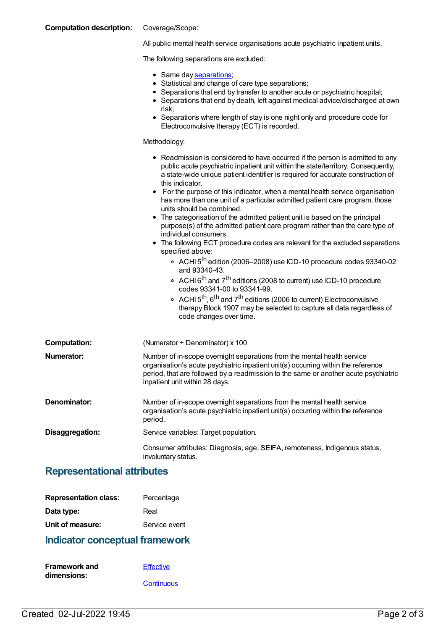| <b>Computation description:</b> | Coverage/Scope:                                                                                                                                                                                                                                                                                                                                                                                                                                                                                                                                                                                                                                                                                                                                                                                                                                                                                                                                                                                                                                                                                                                                                                                                                |
|---------------------------------|--------------------------------------------------------------------------------------------------------------------------------------------------------------------------------------------------------------------------------------------------------------------------------------------------------------------------------------------------------------------------------------------------------------------------------------------------------------------------------------------------------------------------------------------------------------------------------------------------------------------------------------------------------------------------------------------------------------------------------------------------------------------------------------------------------------------------------------------------------------------------------------------------------------------------------------------------------------------------------------------------------------------------------------------------------------------------------------------------------------------------------------------------------------------------------------------------------------------------------|
|                                 | All public mental health service organisations acute psychiatric inpatient units.                                                                                                                                                                                                                                                                                                                                                                                                                                                                                                                                                                                                                                                                                                                                                                                                                                                                                                                                                                                                                                                                                                                                              |
|                                 | The following separations are excluded:                                                                                                                                                                                                                                                                                                                                                                                                                                                                                                                                                                                                                                                                                                                                                                                                                                                                                                                                                                                                                                                                                                                                                                                        |
|                                 | • Same day separations;<br>• Statistical and change of care type separations;<br>• Separations that end by transfer to another acute or psychiatric hospital;<br>• Separations that end by death, left against medical advice/discharged at own<br>risk;<br>• Separations where length of stay is one night only and procedure code for<br>Electroconvulsive therapy (ECT) is recorded.                                                                                                                                                                                                                                                                                                                                                                                                                                                                                                                                                                                                                                                                                                                                                                                                                                        |
|                                 | Methodology:                                                                                                                                                                                                                                                                                                                                                                                                                                                                                                                                                                                                                                                                                                                                                                                                                                                                                                                                                                                                                                                                                                                                                                                                                   |
|                                 | • Readmission is considered to have occurred if the person is admitted to any<br>public acute psychiatric inpatient unit within the state/territory. Consequently,<br>a state-wide unique patient identifier is required for accurate construction of<br>this indicator.<br>For the purpose of this indicator, when a mental health service organisation<br>$\bullet$<br>has more than one unit of a particular admitted patient care program, those<br>units should be combined.<br>• The categorisation of the admitted patient unit is based on the principal<br>purpose(s) of the admitted patient care program rather than the care type of<br>individual consumers.<br>• The following ECT procedure codes are relevant for the excluded separations<br>specified above:<br>○ ACHI 5 <sup>th</sup> edition (2006–2008) use ICD-10 procedure codes 93340-02<br>and 93340-43.<br>○ ACHI 6 <sup>th</sup> and 7 <sup>th</sup> editions (2008 to current) use ICD-10 procedure<br>codes 93341-00 to 93341-99.<br>○ ACHI 5 <sup>th</sup> , 6 <sup>th</sup> and 7 <sup>th</sup> editions (2006 to current) Electroconvulsive<br>therapy Block 1907 may be selected to capture all data regardless of<br>code changes over time. |
| <b>Computation:</b>             | (Numerator + Denominator) x 100                                                                                                                                                                                                                                                                                                                                                                                                                                                                                                                                                                                                                                                                                                                                                                                                                                                                                                                                                                                                                                                                                                                                                                                                |
| Numerator:                      | Number of in-scope overnight separations from the mental health service<br>organisation's acute psychiatric inpatient unit(s) occurring within the reference<br>period, that are followed by a readmission to the same or another acute psychiatric<br>inpatient unit within 28 days.                                                                                                                                                                                                                                                                                                                                                                                                                                                                                                                                                                                                                                                                                                                                                                                                                                                                                                                                          |
| Denominator:                    | Number of in-scope overnight separations from the mental health service<br>organisation's acute psychiatric inpatient unit(s) occurring within the reference<br>period.                                                                                                                                                                                                                                                                                                                                                                                                                                                                                                                                                                                                                                                                                                                                                                                                                                                                                                                                                                                                                                                        |
| Disaggregation:                 | Service variables: Target population.                                                                                                                                                                                                                                                                                                                                                                                                                                                                                                                                                                                                                                                                                                                                                                                                                                                                                                                                                                                                                                                                                                                                                                                          |
|                                 | Consumer attributes: Diagnosis, age, SEIFA, remoteness, Indigenous status,<br>involuntary status.                                                                                                                                                                                                                                                                                                                                                                                                                                                                                                                                                                                                                                                                                                                                                                                                                                                                                                                                                                                                                                                                                                                              |

### **Representational attributes**

| <b>Representation class:</b> | Percentage    |
|------------------------------|---------------|
| Data type:                   | Real          |
| Unit of measure:             | Service event |

## **Indicator conceptual framework**

| <b>Framework and</b> | <b>Effective</b> |
|----------------------|------------------|
| dimensions:          |                  |
|                      | Continuous       |